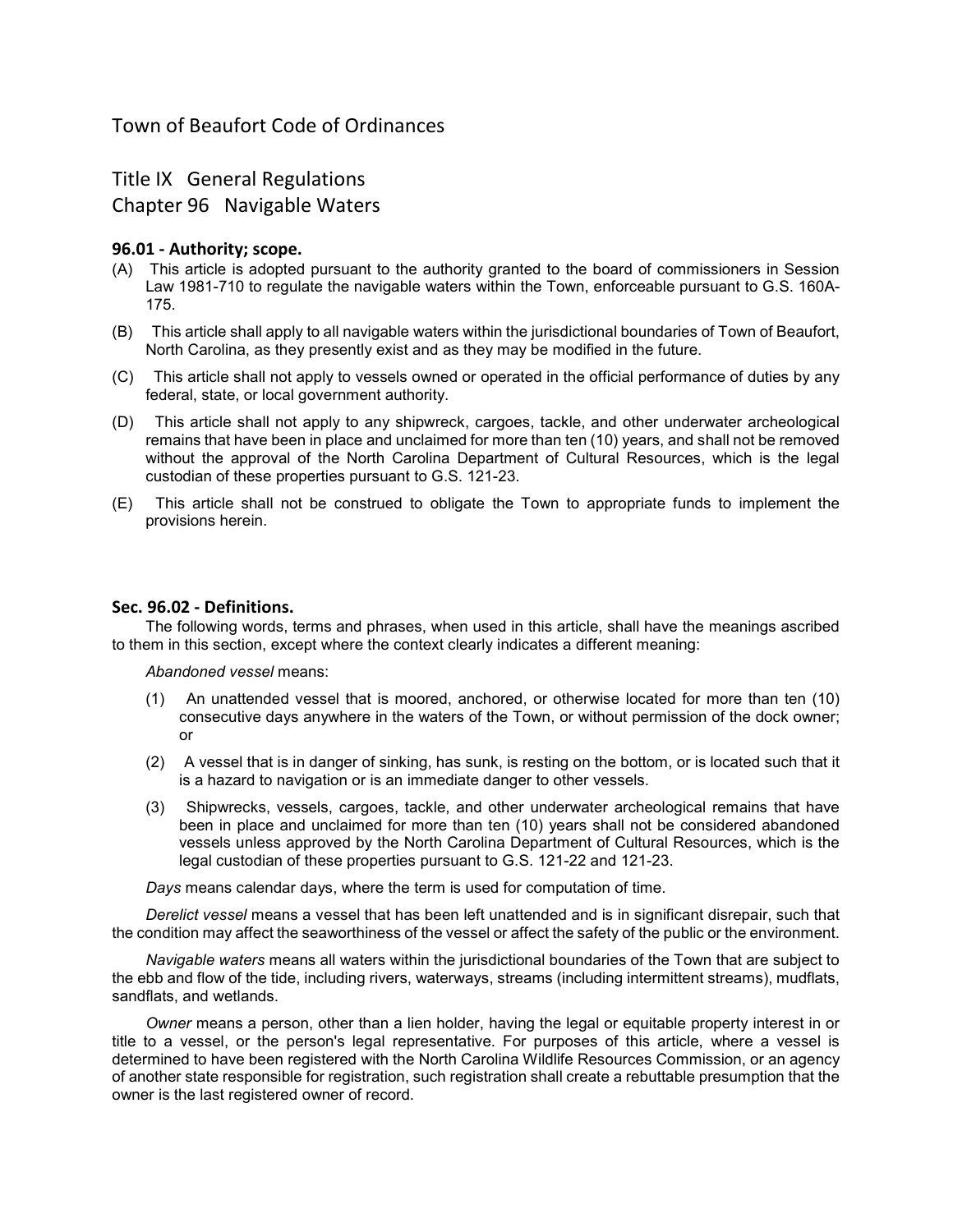# Town of Beaufort Code of Ordinances

Title IX General Regulations

Chapter 96 Navigable Waters

## 96.01 - Authority; scope.

- (A) This article is adopted pursuant to the authority granted to the board of commissioners in Session Law 1981-710 to regulate the navigable waters within the Town, enforceable pursuant to G.S. 160A-175.
- (B) This article shall apply to all navigable waters within the jurisdictional boundaries of Town of Beaufort, North Carolina, as they presently exist and as they may be modified in the future.
- (C) This article shall not apply to vessels owned or operated in the official performance of duties by any federal, state, or local government authority.
- (D) This article shall not apply to any shipwreck, cargoes, tackle, and other underwater archeological remains that have been in place and unclaimed for more than ten (10) years, and shall not be removed without the approval of the North Carolina Department of Cultural Resources, which is the legal custodian of these properties pursuant to G.S. 121-23.
- (E) This article shall not be construed to obligate the Town to appropriate funds to implement the provisions herein.

## Sec. 96.02 - Definitions.

The following words, terms and phrases, when used in this article, shall have the meanings ascribed to them in this section, except where the context clearly indicates a different meaning:

Abandoned vessel means:

- (1) An unattended vessel that is moored, anchored, or otherwise located for more than ten (10) consecutive days anywhere in the waters of the Town, or without permission of the dock owner; or
- (2) A vessel that is in danger of sinking, has sunk, is resting on the bottom, or is located such that it is a hazard to navigation or is an immediate danger to other vessels.
- (3) Shipwrecks, vessels, cargoes, tackle, and other underwater archeological remains that have been in place and unclaimed for more than ten (10) years shall not be considered abandoned vessels unless approved by the North Carolina Department of Cultural Resources, which is the legal custodian of these properties pursuant to G.S. 121-22 and 121-23.

Days means calendar days, where the term is used for computation of time.

Derelict vessel means a vessel that has been left unattended and is in significant disrepair, such that the condition may affect the seaworthiness of the vessel or affect the safety of the public or the environment.

Navigable waters means all waters within the jurisdictional boundaries of the Town that are subject to the ebb and flow of the tide, including rivers, waterways, streams (including intermittent streams), mudflats, sandflats, and wetlands.

Owner means a person, other than a lien holder, having the legal or equitable property interest in or title to a vessel, or the person's legal representative. For purposes of this article, where a vessel is determined to have been registered with the North Carolina Wildlife Resources Commission, or an agency of another state responsible for registration, such registration shall create a rebuttable presumption that the owner is the last registered owner of record.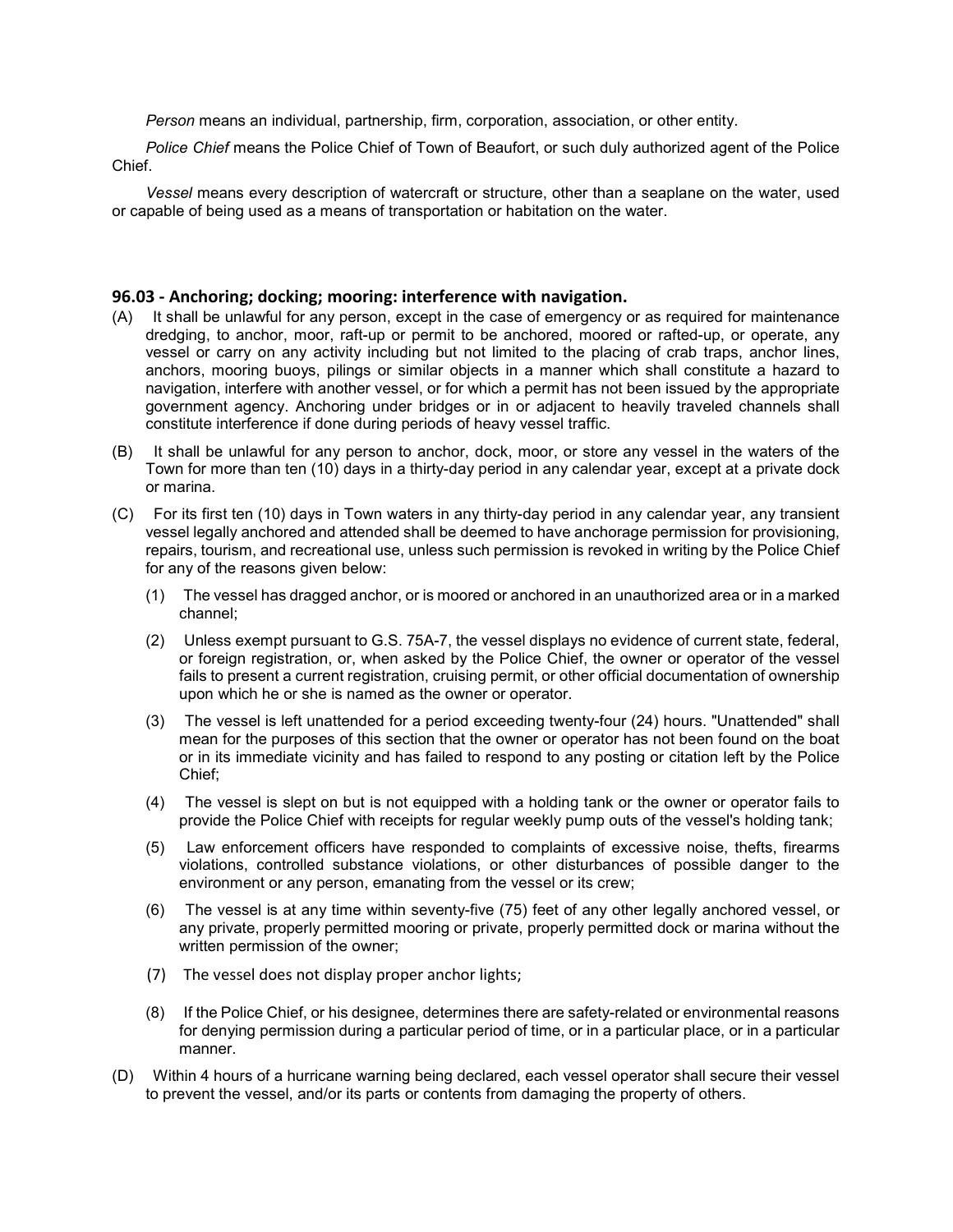Person means an individual, partnership, firm, corporation, association, or other entity.

Police Chief means the Police Chief of Town of Beaufort, or such duly authorized agent of the Police Chief.

Vessel means every description of watercraft or structure, other than a seaplane on the water, used or capable of being used as a means of transportation or habitation on the water.

#### 96.03 - Anchoring; docking; mooring: interference with navigation.

- (A) It shall be unlawful for any person, except in the case of emergency or as required for maintenance dredging, to anchor, moor, raft-up or permit to be anchored, moored or rafted-up, or operate, any vessel or carry on any activity including but not limited to the placing of crab traps, anchor lines, anchors, mooring buoys, pilings or similar objects in a manner which shall constitute a hazard to navigation, interfere with another vessel, or for which a permit has not been issued by the appropriate government agency. Anchoring under bridges or in or adjacent to heavily traveled channels shall constitute interference if done during periods of heavy vessel traffic.
- (B) It shall be unlawful for any person to anchor, dock, moor, or store any vessel in the waters of the Town for more than ten (10) days in a thirty-day period in any calendar year, except at a private dock or marina.
- (C) For its first ten (10) days in Town waters in any thirty-day period in any calendar year, any transient vessel legally anchored and attended shall be deemed to have anchorage permission for provisioning, repairs, tourism, and recreational use, unless such permission is revoked in writing by the Police Chief for any of the reasons given below:
	- (1) The vessel has dragged anchor, or is moored or anchored in an unauthorized area or in a marked channel;
	- (2) Unless exempt pursuant to G.S. 75A-7, the vessel displays no evidence of current state, federal, or foreign registration, or, when asked by the Police Chief, the owner or operator of the vessel fails to present a current registration, cruising permit, or other official documentation of ownership upon which he or she is named as the owner or operator.
	- (3) The vessel is left unattended for a period exceeding twenty-four (24) hours. "Unattended" shall mean for the purposes of this section that the owner or operator has not been found on the boat or in its immediate vicinity and has failed to respond to any posting or citation left by the Police Chief;
	- (4) The vessel is slept on but is not equipped with a holding tank or the owner or operator fails to provide the Police Chief with receipts for regular weekly pump outs of the vessel's holding tank;
	- (5) Law enforcement officers have responded to complaints of excessive noise, thefts, firearms violations, controlled substance violations, or other disturbances of possible danger to the environment or any person, emanating from the vessel or its crew;
	- (6) The vessel is at any time within seventy-five (75) feet of any other legally anchored vessel, or any private, properly permitted mooring or private, properly permitted dock or marina without the written permission of the owner;
	- (7) The vessel does not display proper anchor lights;
	- (8) If the Police Chief, or his designee, determines there are safety-related or environmental reasons for denying permission during a particular period of time, or in a particular place, or in a particular manner.
- (D) Within 4 hours of a hurricane warning being declared, each vessel operator shall secure their vessel to prevent the vessel, and/or its parts or contents from damaging the property of others.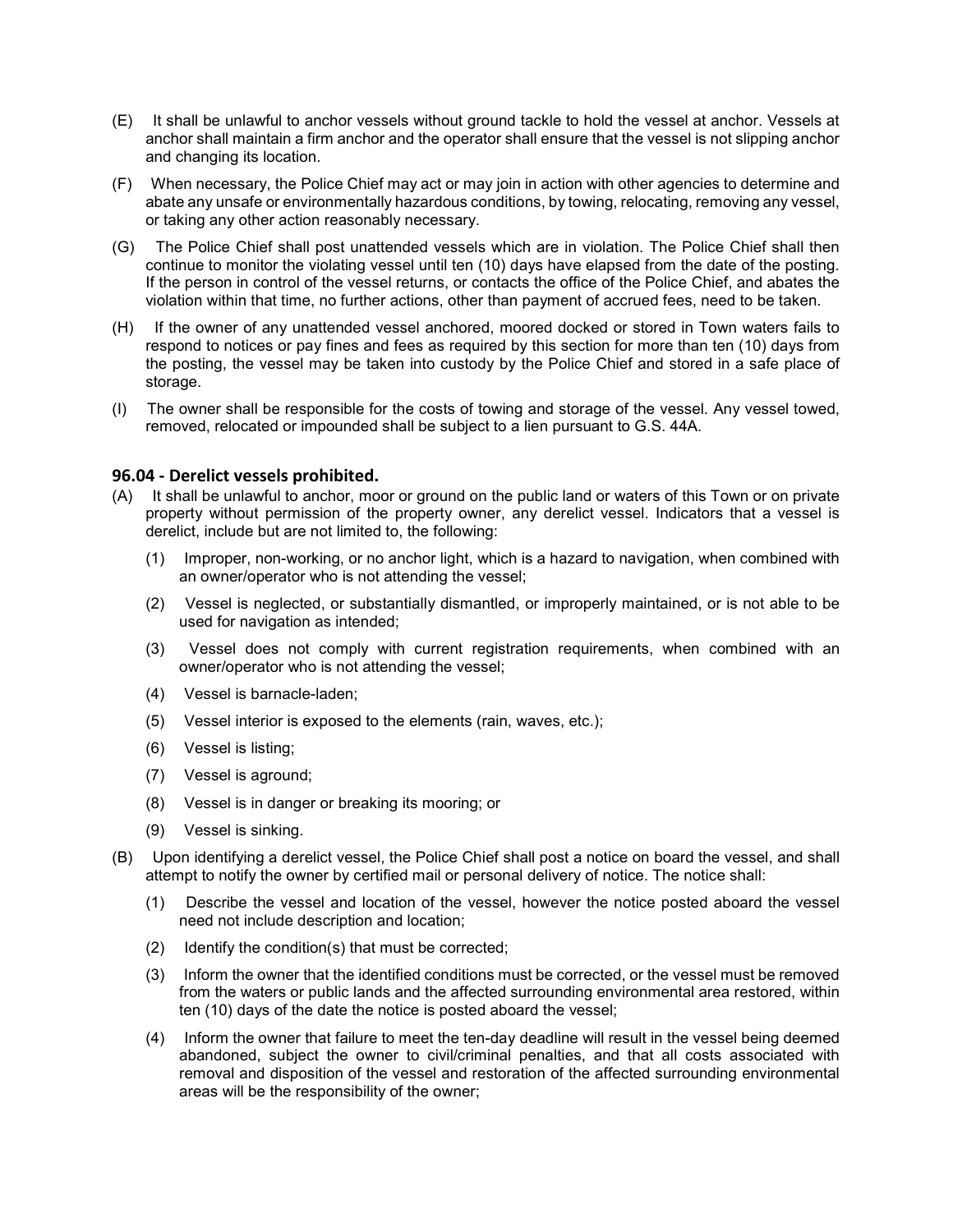- (E) It shall be unlawful to anchor vessels without ground tackle to hold the vessel at anchor. Vessels at anchor shall maintain a firm anchor and the operator shall ensure that the vessel is not slipping anchor and changing its location.
- (F) When necessary, the Police Chief may act or may join in action with other agencies to determine and abate any unsafe or environmentally hazardous conditions, by towing, relocating, removing any vessel, or taking any other action reasonably necessary.
- (G) The Police Chief shall post unattended vessels which are in violation. The Police Chief shall then continue to monitor the violating vessel until ten (10) days have elapsed from the date of the posting. If the person in control of the vessel returns, or contacts the office of the Police Chief, and abates the violation within that time, no further actions, other than payment of accrued fees, need to be taken.
- (H) If the owner of any unattended vessel anchored, moored docked or stored in Town waters fails to respond to notices or pay fines and fees as required by this section for more than ten (10) days from the posting, the vessel may be taken into custody by the Police Chief and stored in a safe place of storage.
- (I) The owner shall be responsible for the costs of towing and storage of the vessel. Any vessel towed, removed, relocated or impounded shall be subject to a lien pursuant to G.S. 44A.

## 96.04 - Derelict vessels prohibited.

- (A) It shall be unlawful to anchor, moor or ground on the public land or waters of this Town or on private property without permission of the property owner, any derelict vessel. Indicators that a vessel is derelict, include but are not limited to, the following:
	- (1) Improper, non-working, or no anchor light, which is a hazard to navigation, when combined with an owner/operator who is not attending the vessel;
	- (2) Vessel is neglected, or substantially dismantled, or improperly maintained, or is not able to be used for navigation as intended;
	- (3) Vessel does not comply with current registration requirements, when combined with an owner/operator who is not attending the vessel;
	- (4) Vessel is barnacle-laden;
	- (5) Vessel interior is exposed to the elements (rain, waves, etc.);
	- (6) Vessel is listing;
	- (7) Vessel is aground;
	- (8) Vessel is in danger or breaking its mooring; or
	- (9) Vessel is sinking.
- (B) Upon identifying a derelict vessel, the Police Chief shall post a notice on board the vessel, and shall attempt to notify the owner by certified mail or personal delivery of notice. The notice shall:
	- (1) Describe the vessel and location of the vessel, however the notice posted aboard the vessel need not include description and location;
	- (2) Identify the condition(s) that must be corrected;
	- (3) Inform the owner that the identified conditions must be corrected, or the vessel must be removed from the waters or public lands and the affected surrounding environmental area restored, within ten (10) days of the date the notice is posted aboard the vessel;
	- (4) Inform the owner that failure to meet the ten-day deadline will result in the vessel being deemed abandoned, subject the owner to civil/criminal penalties, and that all costs associated with removal and disposition of the vessel and restoration of the affected surrounding environmental areas will be the responsibility of the owner;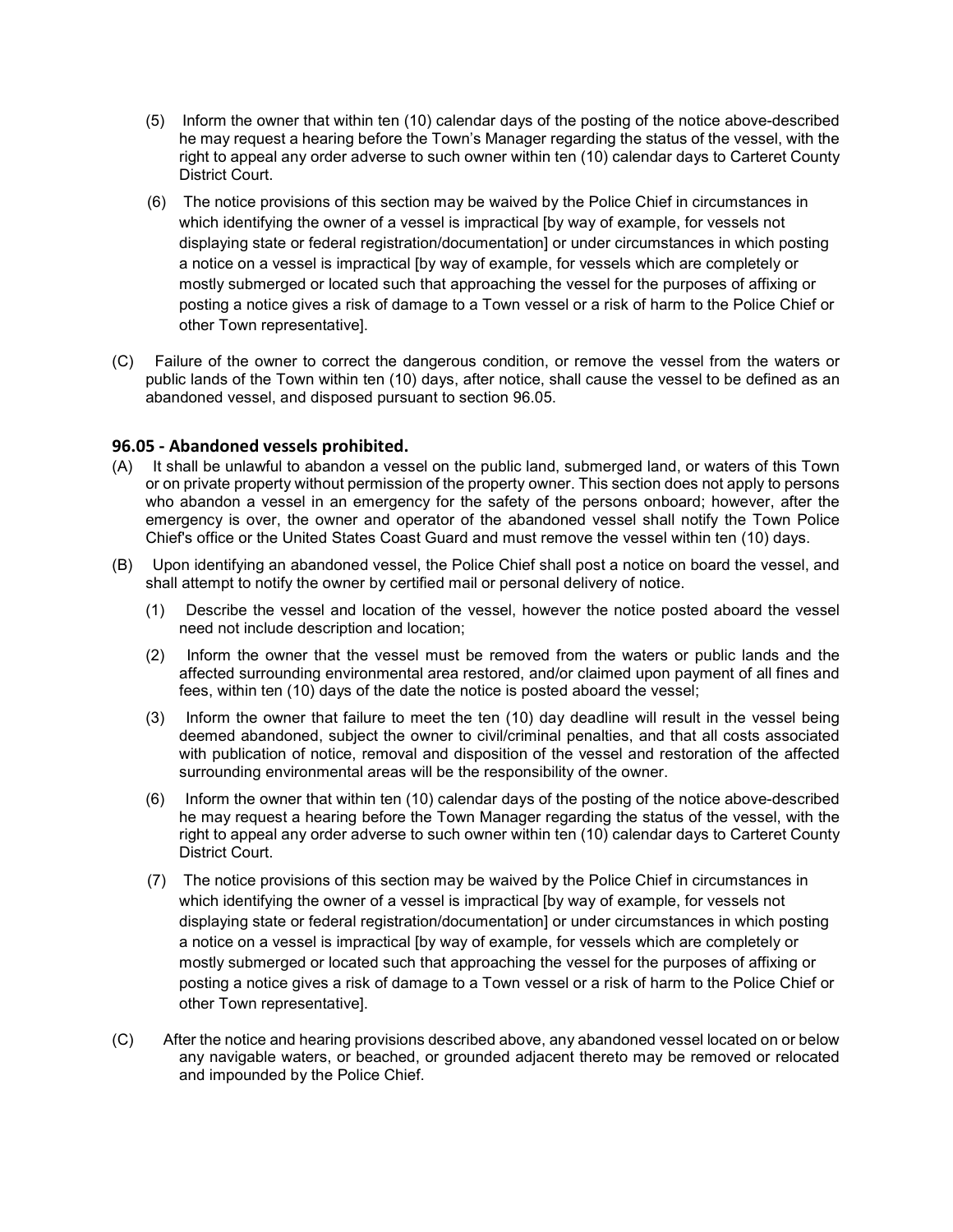- (5) Inform the owner that within ten (10) calendar days of the posting of the notice above-described he may request a hearing before the Town's Manager regarding the status of the vessel, with the right to appeal any order adverse to such owner within ten (10) calendar days to Carteret County District Court.
- (6) The notice provisions of this section may be waived by the Police Chief in circumstances in which identifying the owner of a vessel is impractical [by way of example, for vessels not displaying state or federal registration/documentation] or under circumstances in which posting a notice on a vessel is impractical [by way of example, for vessels which are completely or mostly submerged or located such that approaching the vessel for the purposes of affixing or posting a notice gives a risk of damage to a Town vessel or a risk of harm to the Police Chief or other Town representative].
- (C) Failure of the owner to correct the dangerous condition, or remove the vessel from the waters or public lands of the Town within ten (10) days, after notice, shall cause the vessel to be defined as an abandoned vessel, and disposed pursuant to section 96.05.

## 96.05 - Abandoned vessels prohibited.

- (A) It shall be unlawful to abandon a vessel on the public land, submerged land, or waters of this Town or on private property without permission of the property owner. This section does not apply to persons who abandon a vessel in an emergency for the safety of the persons onboard; however, after the emergency is over, the owner and operator of the abandoned vessel shall notify the Town Police Chief's office or the United States Coast Guard and must remove the vessel within ten (10) days.
- (B) Upon identifying an abandoned vessel, the Police Chief shall post a notice on board the vessel, and shall attempt to notify the owner by certified mail or personal delivery of notice.
	- (1) Describe the vessel and location of the vessel, however the notice posted aboard the vessel need not include description and location;
	- (2) Inform the owner that the vessel must be removed from the waters or public lands and the affected surrounding environmental area restored, and/or claimed upon payment of all fines and fees, within ten (10) days of the date the notice is posted aboard the vessel;
	- (3) Inform the owner that failure to meet the ten (10) day deadline will result in the vessel being deemed abandoned, subject the owner to civil/criminal penalties, and that all costs associated with publication of notice, removal and disposition of the vessel and restoration of the affected surrounding environmental areas will be the responsibility of the owner.
	- (6) Inform the owner that within ten (10) calendar days of the posting of the notice above-described he may request a hearing before the Town Manager regarding the status of the vessel, with the right to appeal any order adverse to such owner within ten (10) calendar days to Carteret County District Court.
	- (7) The notice provisions of this section may be waived by the Police Chief in circumstances in which identifying the owner of a vessel is impractical [by way of example, for vessels not displaying state or federal registration/documentation] or under circumstances in which posting a notice on a vessel is impractical [by way of example, for vessels which are completely or mostly submerged or located such that approaching the vessel for the purposes of affixing or posting a notice gives a risk of damage to a Town vessel or a risk of harm to the Police Chief or other Town representative].
- (C) After the notice and hearing provisions described above, any abandoned vessel located on or below any navigable waters, or beached, or grounded adjacent thereto may be removed or relocated and impounded by the Police Chief.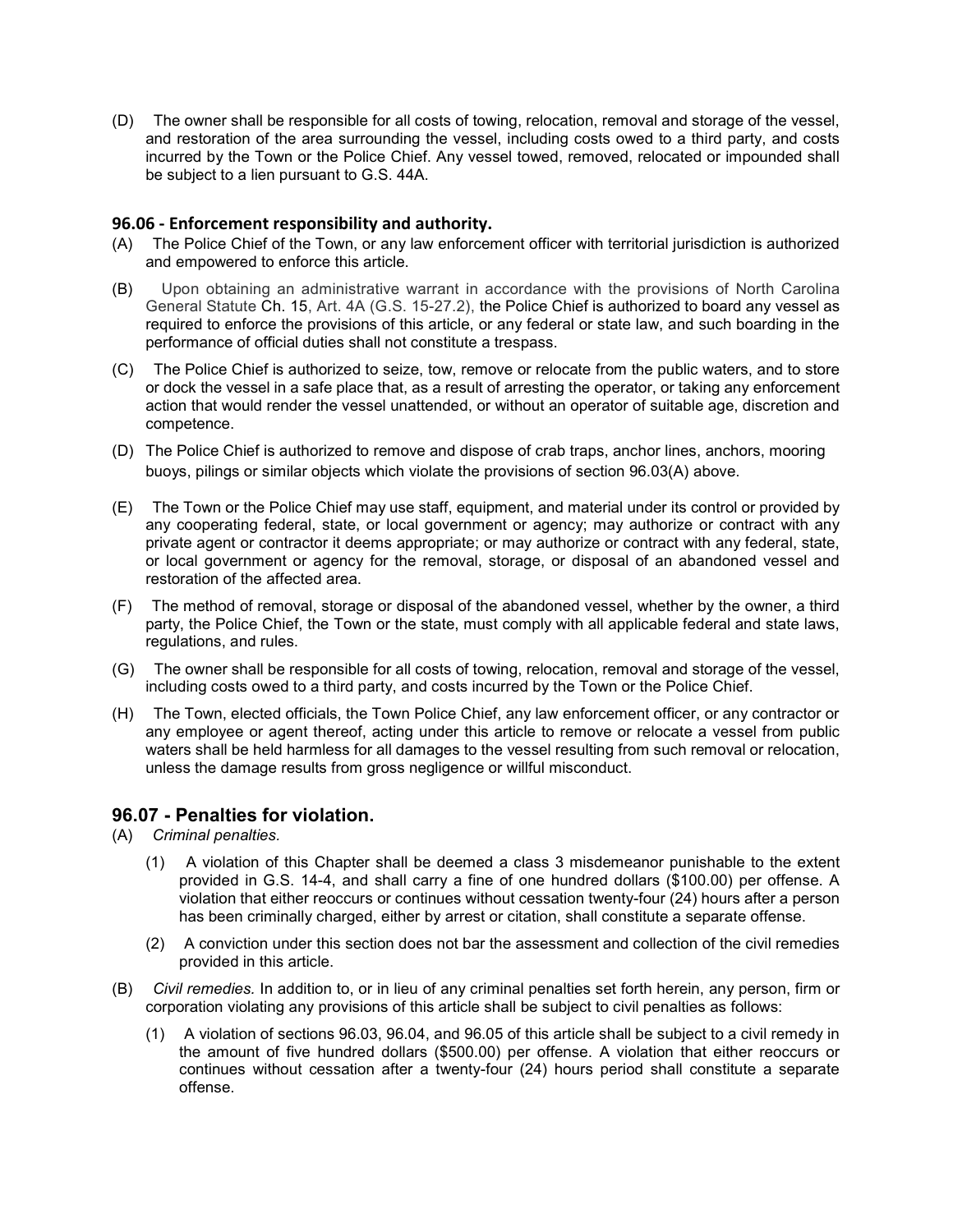(D) The owner shall be responsible for all costs of towing, relocation, removal and storage of the vessel, and restoration of the area surrounding the vessel, including costs owed to a third party, and costs incurred by the Town or the Police Chief. Any vessel towed, removed, relocated or impounded shall be subject to a lien pursuant to G.S. 44A.

## 96.06 - Enforcement responsibility and authority.

- (A) The Police Chief of the Town, or any law enforcement officer with territorial jurisdiction is authorized and empowered to enforce this article.
- (B) Upon obtaining an administrative warrant in accordance with the provisions of North Carolina General Statute Ch. 15, Art. 4A (G.S. 15-27.2), the Police Chief is authorized to board any vessel as required to enforce the provisions of this article, or any federal or state law, and such boarding in the performance of official duties shall not constitute a trespass.
- (C) The Police Chief is authorized to seize, tow, remove or relocate from the public waters, and to store or dock the vessel in a safe place that, as a result of arresting the operator, or taking any enforcement action that would render the vessel unattended, or without an operator of suitable age, discretion and competence.
- (D) The Police Chief is authorized to remove and dispose of crab traps, anchor lines, anchors, mooring buoys, pilings or similar objects which violate the provisions of section 96.03(A) above.
- (E) The Town or the Police Chief may use staff, equipment, and material under its control or provided by any cooperating federal, state, or local government or agency; may authorize or contract with any private agent or contractor it deems appropriate; or may authorize or contract with any federal, state, or local government or agency for the removal, storage, or disposal of an abandoned vessel and restoration of the affected area.
- (F) The method of removal, storage or disposal of the abandoned vessel, whether by the owner, a third party, the Police Chief, the Town or the state, must comply with all applicable federal and state laws, regulations, and rules.
- (G) The owner shall be responsible for all costs of towing, relocation, removal and storage of the vessel, including costs owed to a third party, and costs incurred by the Town or the Police Chief.
- (H) The Town, elected officials, the Town Police Chief, any law enforcement officer, or any contractor or any employee or agent thereof, acting under this article to remove or relocate a vessel from public waters shall be held harmless for all damages to the vessel resulting from such removal or relocation, unless the damage results from gross negligence or willful misconduct.

## 96.07 - Penalties for violation.

- (A) Criminal penalties.
	- (1) A violation of this Chapter shall be deemed a class 3 misdemeanor punishable to the extent provided in G.S. 14-4, and shall carry a fine of one hundred dollars (\$100.00) per offense. A violation that either reoccurs or continues without cessation twenty-four (24) hours after a person has been criminally charged, either by arrest or citation, shall constitute a separate offense.
	- (2) A conviction under this section does not bar the assessment and collection of the civil remedies provided in this article.
- (B) Civil remedies. In addition to, or in lieu of any criminal penalties set forth herein, any person, firm or corporation violating any provisions of this article shall be subject to civil penalties as follows:
	- (1) A violation of sections 96.03, 96.04, and 96.05 of this article shall be subject to a civil remedy in the amount of five hundred dollars (\$500.00) per offense. A violation that either reoccurs or continues without cessation after a twenty-four (24) hours period shall constitute a separate offense.